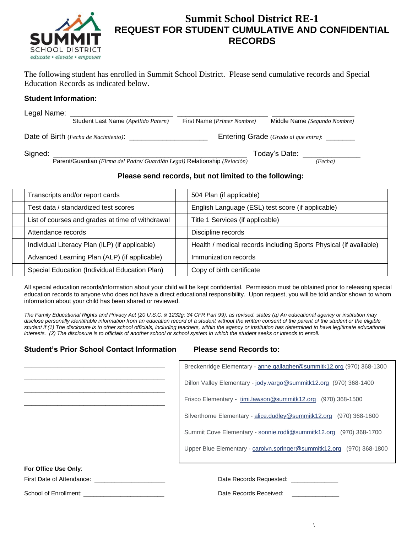

## **Summit School District RE-1 REQUEST FOR STUDENT CUMULATIVE AND CONFIDENTIAL RECORDS**

The following student has enrolled in Summit School District. Please send cumulative records and Special Education Records as indicated below.

### **Student Information:**

| Legal Name: |                                                                          |                                              |                              |  |
|-------------|--------------------------------------------------------------------------|----------------------------------------------|------------------------------|--|
|             | Student Last Name (Apellido Patern)                                      | First Name (Primer Nombre)                   | Middle Name (Segundo Nombre) |  |
|             | Date of Birth (Fecha de Nacimiento):                                     | Entering Grade (Grado al que entra): _______ |                              |  |
| Signed:     |                                                                          |                                              | Today's Date:                |  |
|             | Parent/Guardian (Firma del Padre/Guardián Legal) Relationship (Relación) |                                              | (Fecha)                      |  |

### **Please send records, but not limited to the following:**

| Transcripts and/or report cards                  | 504 Plan (if applicable)                                          |
|--------------------------------------------------|-------------------------------------------------------------------|
| Test data / standardized test scores             | English Language (ESL) test score (if applicable)                 |
| List of courses and grades at time of withdrawal | Title 1 Services (if applicable)                                  |
| Attendance records                               | Discipline records                                                |
| Individual Literacy Plan (ILP) (if applicable)   | Health / medical records including Sports Physical (if available) |
| Advanced Learning Plan (ALP) (if applicable)     | Immunization records                                              |
| Special Education (Individual Education Plan)    | Copy of birth certificate                                         |

All special education records/information about your child will be kept confidential. Permission must be obtained prior to releasing special education records to anyone who does not have a direct educational responsibility. Upon request, you will be told and/or shown to whom information about your child has been shared or reviewed.

*The Family Educational Rights and Privacy Act (20 U.S.C. § 1232g; 34 CFR Part 99), as revised, states (a) An educational agency or institution may*  disclose personally identifiable information from an education record of a student without the written consent of the parent of the student or the eligible *student if (1) The disclosure is to other school officials, including teachers, within the agency or institution has determined to have legitimate educational interests. (2) The disclosure is to officials of another school or school system in which the student seeks or intends to enroll.* 

### **Student's Prior School Contact Information Please send Records to:**

|                           | Breckenridge Elementary - anne.gallagher@summitk12.org (970) 368-1300 |  |  |  |
|---------------------------|-----------------------------------------------------------------------|--|--|--|
|                           | Dillon Valley Elementary - jody.vargo@summitk12.org (970) 368-1400    |  |  |  |
|                           | Frisco Elementary - timi.lawson@summitk12.org (970) 368-1500          |  |  |  |
|                           | Silverthorne Elementary - alice.dudley@summitk12.org (970) 368-1600   |  |  |  |
|                           | Summit Cove Elementary - sonnie.rodli@summitk12.org (970) 368-1700    |  |  |  |
|                           | Upper Blue Elementary - carolyn.springer@summitk12.org (970) 368-1800 |  |  |  |
|                           |                                                                       |  |  |  |
| For Office Use Only:      |                                                                       |  |  |  |
| First Date of Attendance: | Date Records Requested:                                               |  |  |  |

School of Enrollment: \_\_\_\_\_\_\_\_\_\_\_\_\_\_\_\_\_\_\_\_\_\_\_\_ Date Records Received: \_\_\_\_\_\_\_\_\_\_\_\_\_\_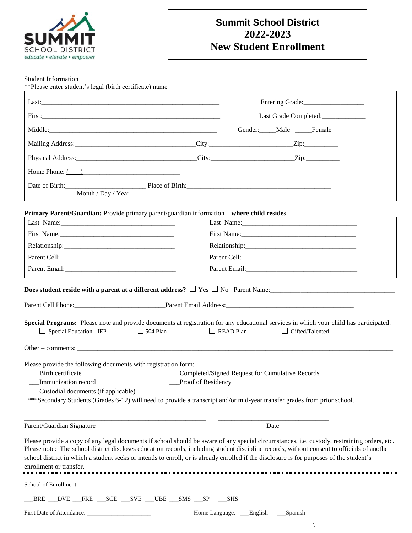

## **Summit School District 2022-2023 New Student Enrollment**

Student Information

| **Please enter student's legal (birth certificate) name                                                                                                                                                                                                                                                                                                                                                                                                           |                                                                       |            |                        |                                    |  |
|-------------------------------------------------------------------------------------------------------------------------------------------------------------------------------------------------------------------------------------------------------------------------------------------------------------------------------------------------------------------------------------------------------------------------------------------------------------------|-----------------------------------------------------------------------|------------|------------------------|------------------------------------|--|
|                                                                                                                                                                                                                                                                                                                                                                                                                                                                   |                                                                       |            |                        |                                    |  |
|                                                                                                                                                                                                                                                                                                                                                                                                                                                                   |                                                                       |            |                        | Last Grade Completed:_____________ |  |
|                                                                                                                                                                                                                                                                                                                                                                                                                                                                   |                                                                       |            | Gender: Male Female    |                                    |  |
|                                                                                                                                                                                                                                                                                                                                                                                                                                                                   |                                                                       |            |                        |                                    |  |
|                                                                                                                                                                                                                                                                                                                                                                                                                                                                   |                                                                       |            |                        |                                    |  |
| Home Phone: $\overline{() \quad \qquad}$                                                                                                                                                                                                                                                                                                                                                                                                                          |                                                                       |            |                        |                                    |  |
| Date of Birth: Place of Birth: Place of Birth:<br>Month / Day / Year                                                                                                                                                                                                                                                                                                                                                                                              |                                                                       |            |                        |                                    |  |
| <b>Primary Parent/Guardian:</b> Provide primary parent/guardian information – where child resides                                                                                                                                                                                                                                                                                                                                                                 |                                                                       |            |                        |                                    |  |
|                                                                                                                                                                                                                                                                                                                                                                                                                                                                   |                                                                       |            |                        |                                    |  |
| First Name: 1000 March 1000 March 1000 March 1000 March 1000 March 1000 March 1000 March 1000 March 1000 March 1000 March 1000 March 1000 March 1000 March 1000 March 1000 March 1000 March 1000 March 1000 March 1000 March 1                                                                                                                                                                                                                                    |                                                                       |            |                        |                                    |  |
|                                                                                                                                                                                                                                                                                                                                                                                                                                                                   |                                                                       |            |                        |                                    |  |
|                                                                                                                                                                                                                                                                                                                                                                                                                                                                   |                                                                       |            |                        |                                    |  |
|                                                                                                                                                                                                                                                                                                                                                                                                                                                                   |                                                                       |            |                        |                                    |  |
| Does student reside with a parent at a different address? $\Box$ Yes $\Box$ No Parent Name:<br>Special Programs: Please note and provide documents at registration for any educational services in which your child has participated:<br>Special Education - IEP                                                                                                                                                                                                  | $\Box$ 504 Plan<br>$\Box$ READ Plan                                   |            | $\Box$ Gifted/Talented |                                    |  |
|                                                                                                                                                                                                                                                                                                                                                                                                                                                                   |                                                                       |            |                        |                                    |  |
| Please provide the following documents with registration form:<br>Birth certificate<br>Immunization record<br>Custodial documents (if applicable)<br>*** Secondary Students (Grades 6-12) will need to provide a transcript and/or mid-year transfer grades from prior school.                                                                                                                                                                                    | Completed/Signed Request for Cumulative Records<br>Proof of Residency |            |                        |                                    |  |
| Parent/Guardian Signature                                                                                                                                                                                                                                                                                                                                                                                                                                         |                                                                       |            | Date                   |                                    |  |
| Please provide a copy of any legal documents if school should be aware of any special circumstances, i.e. custody, restraining orders, etc.<br>Please note: The school district discloses education records, including student discipline records, without consent to officials of another<br>school district in which a student seeks or intends to enroll, or is already enrolled if the disclosure is for purposes of the student's<br>enrollment or transfer. |                                                                       |            |                        |                                    |  |
| School of Enrollment:                                                                                                                                                                                                                                                                                                                                                                                                                                             |                                                                       |            |                        |                                    |  |
| _BRE ___DVE ___FRE ___SCE ___SVE ___UBE ___SMS ___SP                                                                                                                                                                                                                                                                                                                                                                                                              |                                                                       | <b>SHS</b> |                        |                                    |  |

First Date of Attendance: \_\_\_\_\_\_\_\_\_\_\_\_\_\_\_\_\_\_\_\_\_ Home Language: \_\_\_English \_\_\_Spanish

 $\backslash$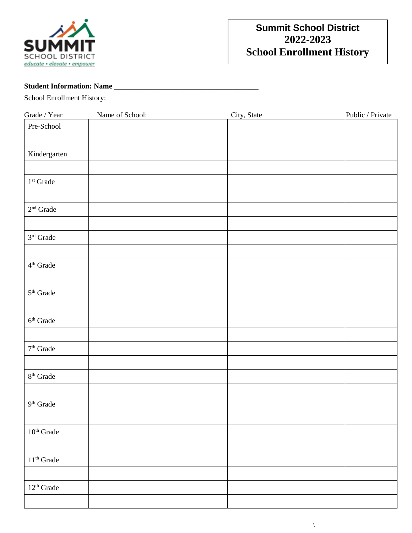

## **Summit School District 2022-2023 School Enrollment History**

## **Student Information: Name \_\_\_\_\_\_\_\_\_\_\_\_\_\_\_\_\_\_\_\_\_\_\_\_\_\_\_\_\_\_\_\_\_\_\_\_\_\_\_**

School Enrollment History:

| $Grade \, / \, Year$   | Name of School: | City, State | Public / Private |
|------------------------|-----------------|-------------|------------------|
| Pre-School             |                 |             |                  |
|                        |                 |             |                  |
|                        |                 |             |                  |
| Kindergarten           |                 |             |                  |
|                        |                 |             |                  |
| $1^{\rm st}$ Grade     |                 |             |                  |
|                        |                 |             |                  |
| $2^{\rm nd}$ Grade     |                 |             |                  |
|                        |                 |             |                  |
|                        |                 |             |                  |
| $3^{\rm rd}$ Grade     |                 |             |                  |
|                        |                 |             |                  |
| $4^{\rm th}$ Grade     |                 |             |                  |
|                        |                 |             |                  |
| $5^{\rm th}$ Grade     |                 |             |                  |
|                        |                 |             |                  |
|                        |                 |             |                  |
| $6^{\rm th}$ Grade     |                 |             |                  |
|                        |                 |             |                  |
| $7^{\rm th}$ Grade     |                 |             |                  |
|                        |                 |             |                  |
|                        |                 |             |                  |
| $8^{\rm th}$ Grade     |                 |             |                  |
|                        |                 |             |                  |
| $9^{\rm th}$ Grade     |                 |             |                  |
|                        |                 |             |                  |
|                        |                 |             |                  |
| $10^{\rm th}$ Grade    |                 |             |                  |
|                        |                 |             |                  |
| $11^{\rm th}$ Grade    |                 |             |                  |
|                        |                 |             |                  |
| $12^{\text{th}}$ Grade |                 |             |                  |
|                        |                 |             |                  |
|                        |                 |             |                  |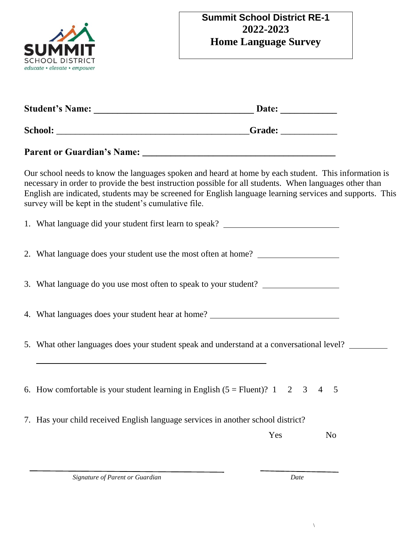

| Our school needs to know the languages spoken and heard at home by each student. This information is<br>necessary in order to provide the best instruction possible for all students. When languages other than<br>English are indicated, students may be screened for English language learning services and supports. This<br>survey will be kept in the student's cumulative file. |                     |
|---------------------------------------------------------------------------------------------------------------------------------------------------------------------------------------------------------------------------------------------------------------------------------------------------------------------------------------------------------------------------------------|---------------------|
| 1. What language did your student first learn to speak? ________________________                                                                                                                                                                                                                                                                                                      |                     |
| 2. What language does your student use the most often at home? _________________                                                                                                                                                                                                                                                                                                      |                     |
| 3. What language do you use most often to speak to your student?                                                                                                                                                                                                                                                                                                                      |                     |
| 4. What languages does your student hear at home? ______________________________                                                                                                                                                                                                                                                                                                      |                     |
| 5. What other languages does your student speak and understand at a conversational level?                                                                                                                                                                                                                                                                                             |                     |
| and the control of the control of the control of the control of the control of the control of the control of the                                                                                                                                                                                                                                                                      |                     |
| 6. How comfortable is your student learning in English $(5 =$ Fluent)? 1 2 3                                                                                                                                                                                                                                                                                                          | $\overline{4}$<br>5 |
| 7. Has your child received English language services in another school district?                                                                                                                                                                                                                                                                                                      |                     |
| Yes                                                                                                                                                                                                                                                                                                                                                                                   | N <sub>0</sub>      |
|                                                                                                                                                                                                                                                                                                                                                                                       |                     |

 $\backslash$